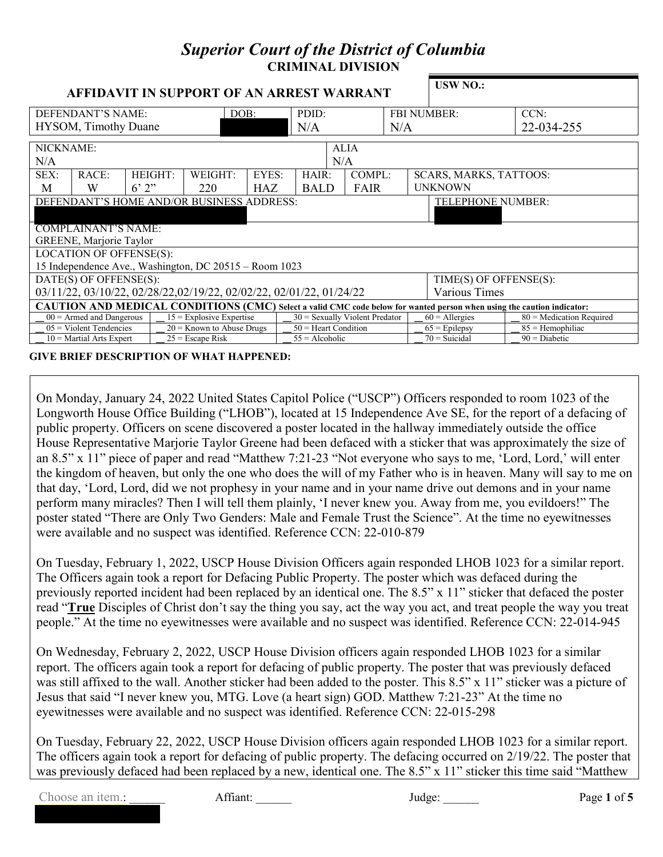## *Superior Court of the District of Columbia* **CRIMINAL DIVISION AFFIDAVIT IN SUPPORT OF AN ARREST WARRANT USW NO.:** DEFENDANT'S NAME: HYSOM, Timothy Duane DOB: PDID: N/A FBI NUMBER:  $N/A$ CCN: 22-034-255 NICKNAME: N/A ALIA N/A SEX: M RACE: W HEIGHT:  $6'$   $2"$ WEIGHT: 220 EYES: HAZ HAIR: BALD COMPL: FAIR SCARS, MARKS, TATTOOS: UNKNOWN DEFENDANT'S HOME AND/OR BUSINESS ADDRESS: TELEPHONE NUMBER: COMPLAINANT'S NAME: GREENE, Marjorie Taylor LOCATION OF OFFENSE(S): 15 Independence Ave., Washington, DC 20515 – Room 1023 DATE(S) OF OFFENSE(S): 03/11/22, 03/10/22, 02/28/22,02/19/22, 02/02/22, 02/01/22, 01/24/22 TIME(S) OF OFFENSE(S): Various Times **CAUTION AND MEDICAL CONDITIONS (CMC)** Select a valid CMC code below for wanted person when using the caution indicator:<br>  $00 =$  Armed and Dangerous | 15 = Explosive Expertise | 30 = Sexually Violent Predator | 60 = Allergi \_\_ 00 = Armed and Dangerous \_\_ 15 = Explosive Expertise \_\_ 30 = Sexually Violent Predator \_\_ 60 = Allergies \_\_ 80 = Medication Required  $0.05 =$  Violent Tendencies  $\begin{array}{|l} \end{array}$   $=$  20 = Known to Abuse Drugs  $\begin{array}{|l} \end{array}$   $=$  50 = Heart Condition  $\begin{array}{|l} \end{array}$   $=$  65 = Epilepsy  $\begin{array}{|l} \end{array}$   $=$  85 = Hemophiliac  $10 =$ Martial Arts Expert  $\begin{array}{c|c} \end{array}$   $25 =$  Escape Risk  $\begin{array}{c|c} \end{array}$   $55 =$  Alcoholic  $\begin{array}{c|c} \end{array}$  70 = Suicidal  $\begin{array}{c} \end{array}$  90 = Diabetic

**GIVE BRIEF DESCRIPTION OF WHAT HAPPENED:**

On Monday, January 24, 2022 United States Capitol Police ("USCP") Officers responded to room 1023 of the Longworth House Office Building ("LHOB"), located at 15 Independence Ave SE, for the report of a defacing of public property. Officers on scene discovered a poster located in the hallway immediately outside the office House Representative Marjorie Taylor Greene had been defaced with a sticker that was approximately the size of an 8.5" x 11" piece of paper and read "Matthew 7:21-23 "Not everyone who says to me, 'Lord, Lord,' will enter the kingdom of heaven, but only the one who does the will of my Father who is in heaven. Many will say to me on that day, 'Lord, Lord, did we not prophesy in your name and in your name drive out demons and in your name perform many miracles? Then I will tell them plainly, 'I never knew you. Away from me, you evildoers!" The poster stated "There are Only Two Genders: Male and Female Trust the Science". At the time no eyewitnesses were available and no suspect was identified. Reference CCN: 22-010-879

On Tuesday, February 1, 2022, USCP House Division Officers again responded LHOB 1023 for a similar report. The Officers again took a report for Defacing Public Property. The poster which was defaced during the previously reported incident had been replaced by an identical one. The 8.5" x 11" sticker that defaced the poster read "**True** Disciples of Christ don't say the thing you say, act the way you act, and treat people the way you treat people." At the time no eyewitnesses were available and no suspect was identified. Reference CCN: 22-014-945

On Wednesday, February 2, 2022, USCP House Division officers again responded LHOB 1023 for a similar report. The officers again took a report for defacing of public property. The poster that was previously defaced was still affixed to the wall. Another sticker had been added to the poster. This 8.5" x 11" sticker was a picture of Jesus that said "I never knew you, MTG. Love (a heart sign) GOD. Matthew 7:21-23" At the time no eyewitnesses were available and no suspect was identified. Reference CCN: 22-015-298

On Tuesday, February 22, 2022, USCP House Division officers again responded LHOB 1023 for a similar report. The officers again took a report for defacing of public property. The defacing occurred on 2/19/22. The poster that was previously defaced had been replaced by a new, identical one. The 8.5" x 11" sticker this time said "Matthew

Choose an item.: **Affiant: Affiant: Judge:** *Dudge:* **Page 1** of **5**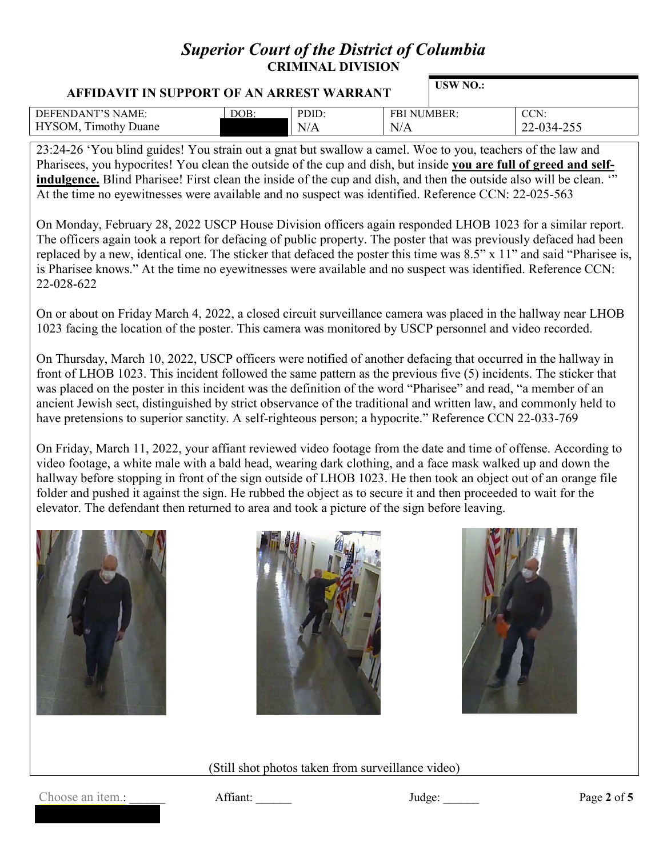## *Superior Court of the District of Columbia* **CRIMINAL DIVISION**

| USW NO.:<br>AFFIDAVIT IN SUPPORT OF AN ARREST WARRANT |      |       |                    |  |            |
|-------------------------------------------------------|------|-------|--------------------|--|------------|
| DEFENDANT'S NAME:                                     | DOB: | PDID: | <b>FBI NUMBER:</b> |  | CCN:       |
| <b>HYSOM, Timothy Duane</b>                           |      | N/A   | N/A                |  | 22-034-255 |

23:24-26 'You blind guides! You strain out a gnat but swallow a camel. Woe to you, teachers of the law and Pharisees, you hypocrites! You clean the outside of the cup and dish, but inside **you are full of greed and self**indulgence. Blind Pharisee! First clean the inside of the cup and dish, and then the outside also will be clean. "" At the time no eyewitnesses were available and no suspect was identified. Reference CCN: 22-025-563

On Monday, February 28, 2022 USCP House Division officers again responded LHOB 1023 for a similar report. The officers again took a report for defacing of public property. The poster that was previously defaced had been replaced by a new, identical one. The sticker that defaced the poster this time was 8.5" x 11" and said "Pharisee is, is Pharisee knows." At the time no eyewitnesses were available and no suspect was identified. Reference CCN: 22-028-622

On or about on Friday March 4, 2022, a closed circuit surveillance camera was placed in the hallway near LHOB 1023 facing the location of the poster. This camera was monitored by USCP personnel and video recorded.

On Thursday, March 10, 2022, USCP officers were notified of another defacing that occurred in the hallway in front of LHOB 1023. This incident followed the same pattern as the previous five (5) incidents. The sticker that was placed on the poster in this incident was the definition of the word "Pharisee" and read, "a member of an ancient Jewish sect, distinguished by strict observance of the traditional and written law, and commonly held to have pretensions to superior sanctity. A self-righteous person; a hypocrite." Reference CCN 22-033-769

On Friday, March 11, 2022, your affiant reviewed video footage from the date and time of offense. According to video footage, a white male with a bald head, wearing dark clothing, and a face mask walked up and down the hallway before stopping in front of the sign outside of LHOB 1023. He then took an object out of an orange file folder and pushed it against the sign. He rubbed the object as to secure it and then proceeded to wait for the elevator. The defendant then returned to area and took a picture of the sign before leaving.







(Still shot photos taken from surveillance video)

Choose an item.: **Affiant: Affiant: Judge: Page 2** of **5**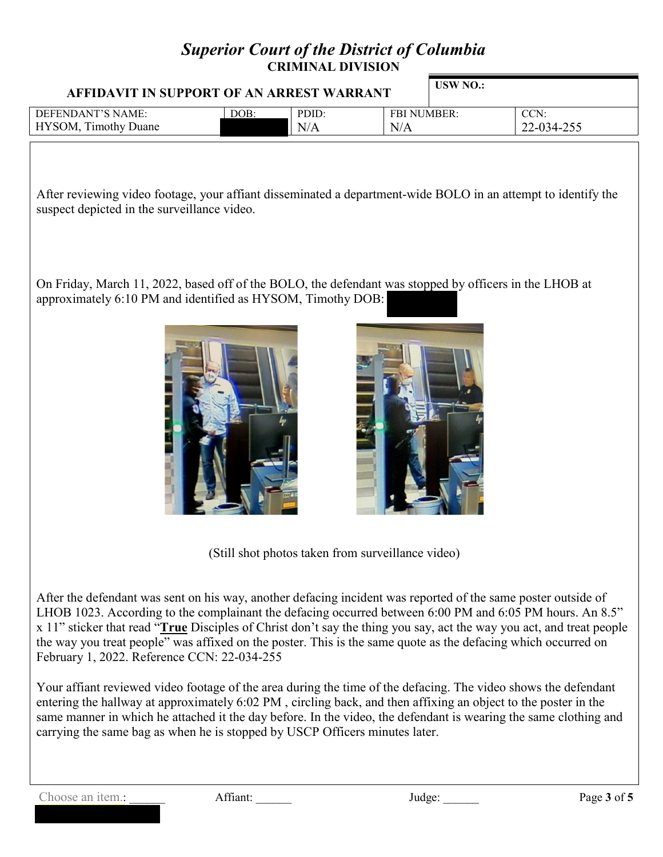## *Superior Court of the District of Columbia* **CRIMINAL DIVISION**

| AFFIDAVIT IN SUPPORT OF AN ARREST WARRANT |      |              |                           | USW NO.: |                    |
|-------------------------------------------|------|--------------|---------------------------|----------|--------------------|
| DEFENDANT'S NAME:<br>HYSOM, Timothy Duane | DOB: | PDID:<br>N/A | <b>FBI NUMBER:</b><br>N/A |          | CCN:<br>22-034-255 |
|                                           |      |              |                           |          |                    |

After reviewing video footage, your affiant disseminated a department-wide BOLO in an attempt to identify the suspect depicted in the surveillance video.

On Friday, March 11, 2022, based off of the BOLO, the defendant was stopped by officers in the LHOB at approximately 6:10 PM and identified as HYSOM, Timothy DOB:





(Still shot photos taken from surveillance video)

After the defendant was sent on his way, another defacing incident was reported of the same poster outside of LHOB 1023. According to the complainant the defacing occurred between 6:00 PM and 6:05 PM hours. An 8.5" x 11" sticker that read "**True** Disciples of Christ don't say the thing you say, act the way you act, and treat people the way you treat people" was affixed on the poster. This is the same quote as the defacing which occurred on February 1, 2022. Reference CCN: 22-034-255

Your affiant reviewed video footage of the area during the time of the defacing. The video shows the defendant entering the hallway at approximately 6:02 PM , circling back, and then affixing an object to the poster in the same manner in which he attached it the day before. In the video, the defendant is wearing the same clothing and carrying the same bag as when he is stopped by USCP Officers minutes later.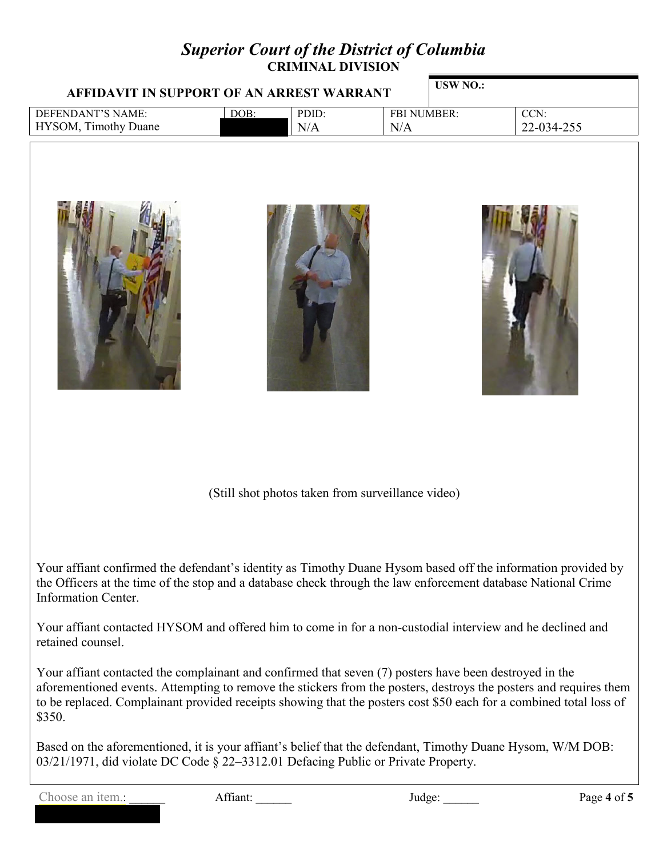## *Superior Court of the District of Columbia* **CRIMINAL DIVISION**

| AFFIDAVIT IN SUPPORT OF AN ARREST WARRANT |      | USW NO.: |             |  |            |
|-------------------------------------------|------|----------|-------------|--|------------|
| DEFENDANT'S NAME:                         | DOB: | PDID:    | FBI NUMBER: |  | CCN:       |
| HYSOM, Timothy Duane                      |      | N/A      | N/A         |  | 22-034-255 |
|                                           |      |          |             |  |            |

(Still shot photos taken from surveillance video)

Your affiant confirmed the defendant's identity as Timothy Duane Hysom based off the information provided by the Officers at the time of the stop and a database check through the law enforcement database National Crime Information Center.

Your affiant contacted HYSOM and offered him to come in for a non-custodial interview and he declined and retained counsel.

Your affiant contacted the complainant and confirmed that seven (7) posters have been destroyed in the aforementioned events. Attempting to remove the stickers from the posters, destroys the posters and requires them to be replaced. Complainant provided receipts showing that the posters cost \$50 each for a combined total loss of \$350.

Based on the aforementioned, it is your affiant's belief that the defendant, Timothy Duane Hysom, W/M DOB: 03/21/1971, did violate DC Code § 22–3312.01 Defacing Public or Private Property.

Choose an item.: \_\_\_\_\_\_ Affiant: \_\_\_\_\_ Judge: \_\_\_\_\_ Judge: Page 4 of 5